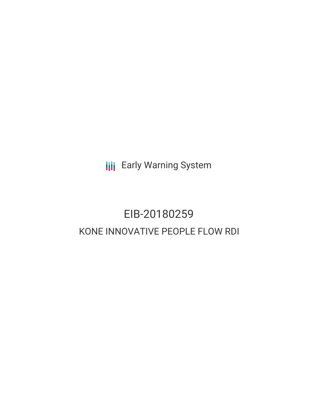**III** Early Warning System

# EIB-20180259 KONE INNOVATIVE PEOPLE FLOW RDI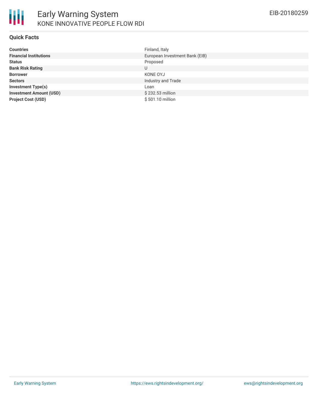

#### **Quick Facts**

| <b>Countries</b>               | Finland, Italy                 |
|--------------------------------|--------------------------------|
| <b>Financial Institutions</b>  | European Investment Bank (EIB) |
| <b>Status</b>                  | Proposed                       |
| <b>Bank Risk Rating</b>        | U                              |
| <b>Borrower</b>                | KONE OYJ                       |
| <b>Sectors</b>                 | Industry and Trade             |
| <b>Investment Type(s)</b>      | Loan                           |
| <b>Investment Amount (USD)</b> | \$232.53 million               |
| <b>Project Cost (USD)</b>      | \$501.10 million               |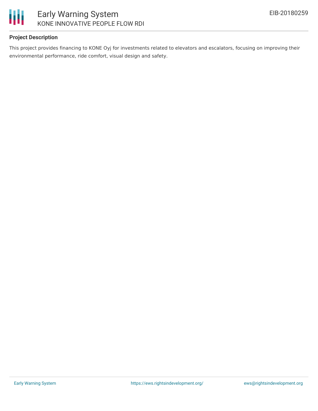

### **Project Description**

This project provides financing to KONE Oyj for investments related to elevators and escalators, focusing on improving their environmental performance, ride comfort, visual design and safety.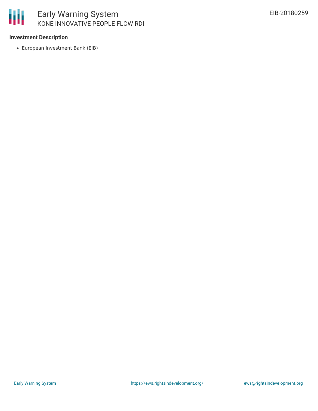

#### **Investment Description**

European Investment Bank (EIB)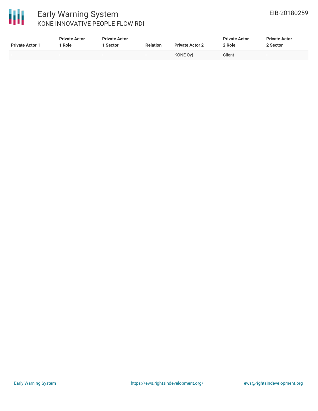

## Early Warning System KONE INNOVATIVE PEOPLE FLOW RDI

| <b>Private Actor 1</b> | <b>Private Actor</b><br>Role | <b>Private Actor</b><br>Sector | <b>Relation</b>          | <b>Private Actor 2</b> | <b>Private Actor</b><br>2 Role | <b>Private Actor</b><br>2 Sector |
|------------------------|------------------------------|--------------------------------|--------------------------|------------------------|--------------------------------|----------------------------------|
|                        | -                            | $\sim$                         | $\overline{\phantom{a}}$ | <b>KONE Ovi</b>        | Client                         | $\overline{\phantom{0}}$         |